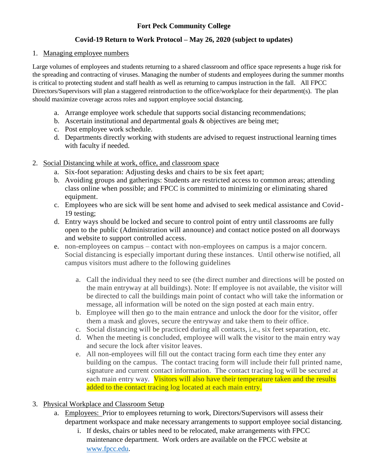### **Fort Peck Community College**

### **Covid-19 Return to Work Protocol – May 26, 2020 (subject to updates)**

#### 1. Managing employee numbers

Large volumes of employees and students returning to a shared classroom and office space represents a huge risk for the spreading and contracting of viruses. Managing the number of students and employees during the summer months is critical to protecting student and staff health as well as returning to campus instruction in the fall. All FPCC Directors/Supervisors will plan a staggered reintroduction to the office/workplace for their department(s). The plan should maximize coverage across roles and support employee social distancing.

- a. Arrange employee work schedule that supports social distancing recommendations;
- b. Ascertain institutional and departmental goals & objectives are being met;
- c. Post employee work schedule.
- d. Departments directly working with students are advised to request instructional learning times with faculty if needed.
- 2. Social Distancing while at work, office, and classroom space
	- a. Six-foot separation: Adjusting desks and chairs to be six feet apart;
	- b. Avoiding groups and gatherings: Students are restricted access to common areas; attending class online when possible; and FPCC is committed to minimizing or eliminating shared equipment.
	- c. Employees who are sick will be sent home and advised to seek medical assistance and Covid-19 testing;
	- d. Entry ways should be locked and secure to control point of entry until classrooms are fully open to the public (Administration will announce) and contact notice posted on all doorways and website to support controlled access.
	- e. non-employees on campus contact with non-employees on campus is a major concern. Social distancing is especially important during these instances. Until otherwise notified, all campus visitors must adhere to the following guidelines
		- a. Call the individual they need to see (the direct number and directions will be posted on the main entryway at all buildings). Note: If employee is not available, the visitor will be directed to call the buildings main point of contact who will take the information or message, all information will be noted on the sign posted at each main entry.
		- b. Employee will then go to the main entrance and unlock the door for the visitor, offer them a mask and gloves, secure the entryway and take them to their office.
		- c. Social distancing will be practiced during all contacts, i.e., six feet separation, etc.
		- d. When the meeting is concluded, employee will walk the visitor to the main entry way and secure the lock after visitor leaves.
		- e. All non-employees will fill out the contact tracing form each time they enter any building on the campus. The contact tracing form will include their full printed name, signature and current contact information. The contact tracing log will be secured at each main entry way. Visitors will also have their temperature taken and the results added to the contact tracing log located at each main entry.
- 3. Physical Workplace and Classroom Setup
	- a. Employees: Prior to employees returning to work, Directors/Supervisors will assess their department workspace and make necessary arrangements to support employee social distancing.
		- i. If desks, chairs or tables need to be relocated, make arrangements with FPCC maintenance department. Work orders are available on the FPCC website at [www.fpcc.edu.](http://www.fpcc.edu/)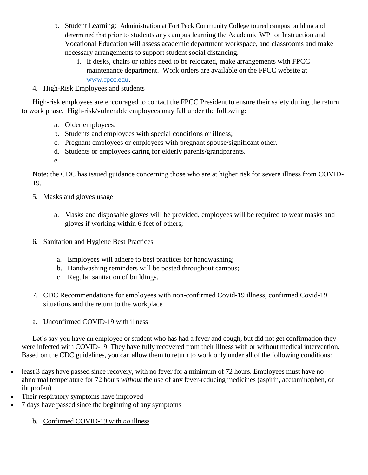- b. Student Learning: Administration at Fort Peck Community College toured campus building and determined that prior to students any campus learning the Academic WP for Instruction and Vocational Education will assess academic department workspace, and classrooms and make necessary arrangements to support student social distancing.
	- i. If desks, chairs or tables need to be relocated, make arrangements with FPCC maintenance department. Work orders are available on the FPCC website at [www.fpcc.edu.](http://www.fpcc.edu/)

### 4. High-Risk Employees and students

High-risk employees are encouraged to contact the FPCC President to ensure their safety during the return to work phase. High-risk/vulnerable employees may fall under the following:

- a. Older employees;
- b. Students and employees with special conditions or illness;
- c. Pregnant employees or employees with pregnant spouse/significant other.
- d. Students or employees caring for elderly parents/grandparents.
- e.

Note: the CDC has issued guidance concerning those who are at higher risk for severe illness from COVID-19.

- 5. Masks and gloves usage
	- a. Masks and disposable gloves will be provided, employees will be required to wear masks and gloves if working within 6 feet of others;
- 6. Sanitation and Hygiene Best Practices
	- a. Employees will adhere to best practices for handwashing;
	- b. Handwashing reminders will be posted throughout campus;
	- c. Regular sanitation of buildings.
- 7. CDC Recommendations for employees with non-confirmed Covid-19 illness, confirmed Covid-19 situations and the return to the workplace
- a. Unconfirmed COVID-19 with illness

Let's say you have an employee or student who has had a fever and cough, but did not get confirmation they were infected with COVID-19. They have fully recovered from their illness with or without medical intervention. Based on the CDC guidelines, you can allow them to return to work only under all of the following conditions:

- least 3 days have passed since recovery, with no fever for a minimum of 72 hours. Employees must have no abnormal temperature for 72 hours *without* the use of any fever-reducing medicines (aspirin, acetaminophen, or ibuprofen)
- Their respiratory symptoms have improved
- 7 days have passed since the beginning of any symptoms
	- b. Confirmed COVID-19 with *no* illness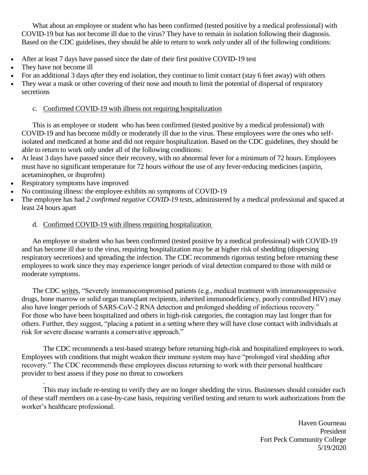What about an employee or student who has been confirmed (tested positive by a medical professional) with COVID-19 but has not become ill due to the virus? They have to remain in isolation following their diagnosis. Based on the CDC guidelines, they should be able to return to work only under all of the following conditions:

- After at least 7 days have passed since the date of their first positive COVID-19 test
- They have not become ill
- For an additional 3 days *after* they end isolation, they continue to limit contact (stay 6 feet away) with others
- They wear a mask or other covering of their nose and mouth to limit the potential of dispersal of respiratory secretions

#### c. Confirmed COVID-19 with illness not requiring hospitalization

This is an employee or student who has been confirmed (tested positive by a medical professional) with COVID-19 and has become mildly or moderately ill due to the virus. These employees were the ones who selfisolated and medicated at home and did not require hospitalization. Based on the CDC guidelines, they should be able to return to work only under all of the following conditions:

- At least 3 days have passed since their recovery, with no abnormal fever for a minimum of 72 hours. Employees must have no significant temperature for 72 hours *without* the use of any fever-reducing medicines (aspirin, acetaminophen, or ibuprofen)
- Respiratory symptoms have improved

.

- No continuing illness: the employee exhibits no symptoms of COVID-19
- The employee has had *2 confirmed negative COVID-19 tests*, administered by a medical professional and spaced at least 24 hours apart

#### d. Confirmed COVID-19 with illness requiring hospitalization

An employee or student who has been confirmed (tested positive by a medical professional) with COVID-19 and has become ill due to the virus, requiring hospitalization may be at higher risk of shedding (dispersing respiratory secretions) and spreading the infection. The CDC recommends rigorous testing before returning these employees to work since they may experience longer periods of viral detection compared to those with mild or moderate symptoms.

The CDC [writes,](https://www.cdc.gov/coronavirus/2019-ncov/hcp/disposition-hospitalized-patients.html) "Severely immunocompromised patients (e.g., medical treatment with immunosuppressive drugs, bone marrow or solid organ transplant recipients, inherited immunodeficiency, poorly controlled HIV) may also have longer periods of SARS-CoV-2 RNA detection and prolonged shedding of infectious recovery." For those who have been hospitalized and others in high-risk categories, the contagion may last longer than for others. Further, they suggest, "placing a patient in a setting where they will have close contact with individuals at risk for severe disease warrants a conservative approach."

The CDC recommends a test-based strategy before returning high-risk and hospitalized employees to work. Employees with conditions that might weaken their immune system may have "prolonged viral shedding after recovery." The CDC recommends these employees discuss returning to work with their personal healthcare provider to best assess if they pose no threat to coworkers

This may include re-testing to verify they are no longer shedding the virus. Businesses should consider each of these staff members on a case-by-case basis, requiring verified testing and return to work authorizations from the worker's healthcare professional.

> Haven Gourneau President Fort Peck Community College 5/19/2020